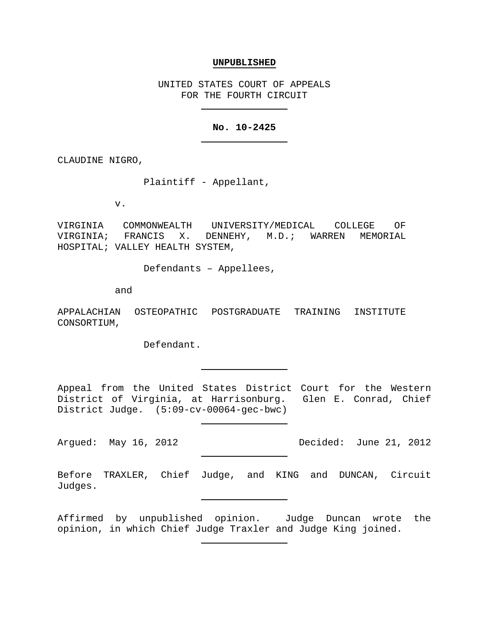#### **UNPUBLISHED**

UNITED STATES COURT OF APPEALS FOR THE FOURTH CIRCUIT

# **No. 10-2425**

CLAUDINE NIGRO,

Plaintiff - Appellant,

v.

VIRGINIA COMMONWEALTH UNIVERSITY/MEDICAL COLLEGE OF VIRGINIA; FRANCIS X. DENNEHY, M.D.; WARREN MEMORIAL HOSPITAL; VALLEY HEALTH SYSTEM,

Defendants – Appellees,

and

APPALACHIAN OSTEOPATHIC POSTGRADUATE TRAINING INSTITUTE CONSORTIUM,

Defendant.

Appeal from the United States District Court for the Western District of Virginia, at Harrisonburg. Glen E. Conrad, Chief District Judge. (5:09-cv-00064-gec-bwc)

Argued: May 16, 2012 **Decided:** June 21, 2012

Before TRAXLER, Chief Judge, and KING and DUNCAN, Circuit Judges.

Affirmed by unpublished opinion. Judge Duncan wrote the opinion, in which Chief Judge Traxler and Judge King joined.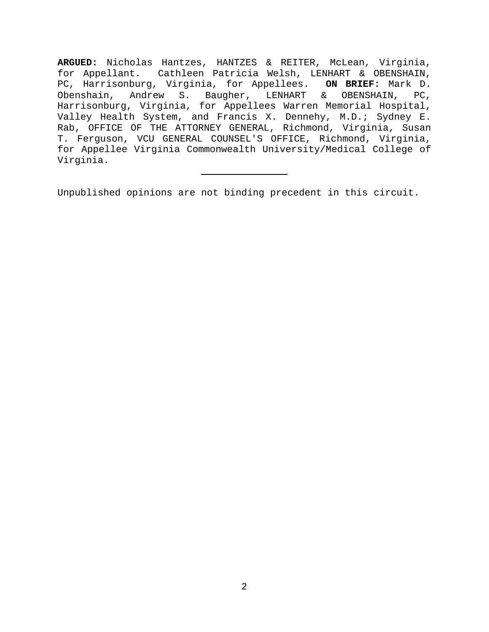**ARGUED:** Nicholas Hantzes, HANTZES & REITER, McLean, Virginia, for Appellant. Cathleen Patricia Welsh, LENHART & OBENSHAIN, PC, Harrisonburg, Virginia, for Appellees. **ON BRIEF:** Mark D. Obenshain, Andrew S. Baugher, LENHART & OBENSHAIN, PC, Harrisonburg, Virginia, for Appellees Warren Memorial Hospital, Valley Health System, and Francis X. Dennehy, M.D.; Sydney E. Rab, OFFICE OF THE ATTORNEY GENERAL, Richmond, Virginia, Susan T. Ferguson, VCU GENERAL COUNSEL'S OFFICE, Richmond, Virginia, for Appellee Virginia Commonwealth University/Medical College of Virginia.

Unpublished opinions are not binding precedent in this circuit.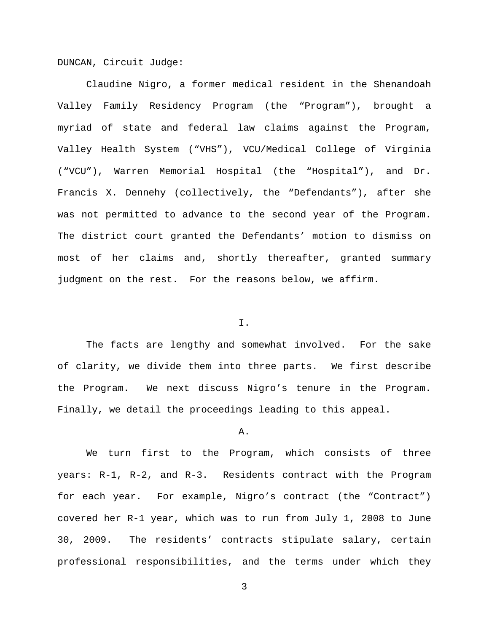DUNCAN, Circuit Judge:

Claudine Nigro, a former medical resident in the Shenandoah Valley Family Residency Program (the "Program"), brought a myriad of state and federal law claims against the Program, Valley Health System ("VHS"), VCU/Medical College of Virginia ("VCU"), Warren Memorial Hospital (the "Hospital"), and Dr. Francis X. Dennehy (collectively, the "Defendants"), after she was not permitted to advance to the second year of the Program. The district court granted the Defendants' motion to dismiss on most of her claims and, shortly thereafter, granted summary judgment on the rest. For the reasons below, we affirm.

## I.

The facts are lengthy and somewhat involved. For the sake of clarity, we divide them into three parts. We first describe the Program. We next discuss Nigro's tenure in the Program. Finally, we detail the proceedings leading to this appeal.

#### A.

We turn first to the Program, which consists of three years: R-1, R-2, and R-3. Residents contract with the Program for each year. For example, Nigro's contract (the "Contract") covered her R-1 year, which was to run from July 1, 2008 to June 30, 2009. The residents' contracts stipulate salary, certain professional responsibilities, and the terms under which they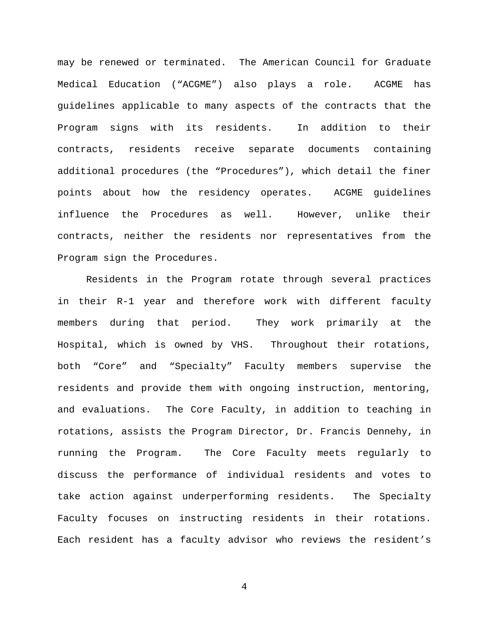may be renewed or terminated. The American Council for Graduate Medical Education ("ACGME") also plays a role. ACGME has guidelines applicable to many aspects of the contracts that the Program signs with its residents. In addition to their contracts, residents receive separate documents containing additional procedures (the "Procedures"), which detail the finer points about how the residency operates. ACGME guidelines influence the Procedures as well. However, unlike their contracts, neither the residents nor representatives from the Program sign the Procedures.

Residents in the Program rotate through several practices in their R-1 year and therefore work with different faculty members during that period. They work primarily at the Hospital, which is owned by VHS. Throughout their rotations, both "Core" and "Specialty" Faculty members supervise the residents and provide them with ongoing instruction, mentoring, and evaluations. The Core Faculty, in addition to teaching in rotations, assists the Program Director, Dr. Francis Dennehy, in running the Program. The Core Faculty meets regularly to discuss the performance of individual residents and votes to take action against underperforming residents. The Specialty Faculty focuses on instructing residents in their rotations. Each resident has a faculty advisor who reviews the resident's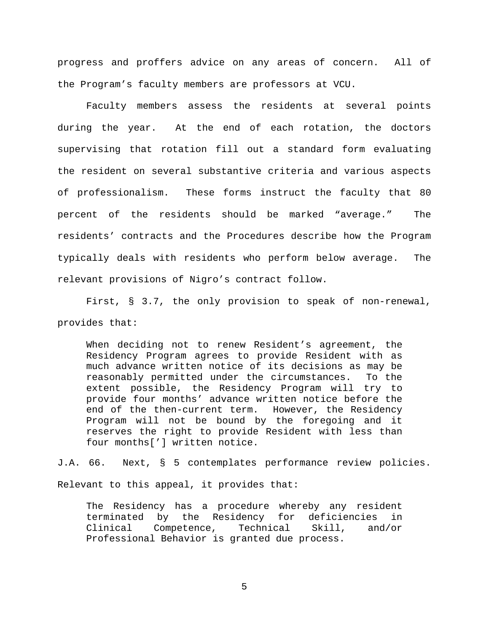progress and proffers advice on any areas of concern. All of the Program's faculty members are professors at VCU.

Faculty members assess the residents at several points during the year. At the end of each rotation, the doctors supervising that rotation fill out a standard form evaluating the resident on several substantive criteria and various aspects of professionalism. These forms instruct the faculty that 80 percent of the residents should be marked "average." The residents' contracts and the Procedures describe how the Program typically deals with residents who perform below average. The relevant provisions of Nigro's contract follow.

First, § 3.7, the only provision to speak of non-renewal, provides that:

When deciding not to renew Resident's agreement, the Residency Program agrees to provide Resident with as much advance written notice of its decisions as may be reasonably permitted under the circumstances. To the extent possible, the Residency Program will try to provide four months' advance written notice before the end of the then-current term. However, the Residency Program will not be bound by the foregoing and it reserves the right to provide Resident with less than four months['] written notice.

J.A. 66. Next, § 5 contemplates performance review policies. Relevant to this appeal, it provides that:

The Residency has a procedure whereby any resident terminated by the Residency for deficiencies in<br>Clinical Competence, Technical Skill, and/or Competence, Technical Skill, and/or Professional Behavior is granted due process.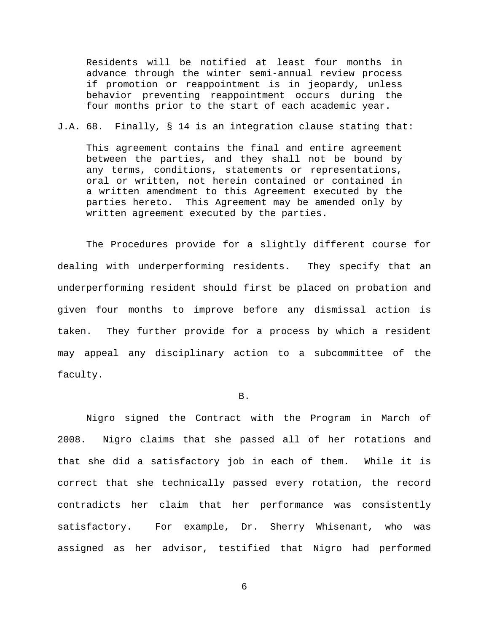Residents will be notified at least four months in advance through the winter semi-annual review process if promotion or reappointment is in jeopardy, unless behavior preventing reappointment occurs during the four months prior to the start of each academic year.

## J.A. 68. Finally, § 14 is an integration clause stating that:

This agreement contains the final and entire agreement between the parties, and they shall not be bound by any terms, conditions, statements or representations, oral or written, not herein contained or contained in a written amendment to this Agreement executed by the parties hereto. This Agreement may be amended only by written agreement executed by the parties.

The Procedures provide for a slightly different course for dealing with underperforming residents. They specify that an underperforming resident should first be placed on probation and given four months to improve before any dismissal action is taken. They further provide for a process by which a resident may appeal any disciplinary action to a subcommittee of the faculty.

#### B.

Nigro signed the Contract with the Program in March of 2008. Nigro claims that she passed all of her rotations and that she did a satisfactory job in each of them. While it is correct that she technically passed every rotation, the record contradicts her claim that her performance was consistently satisfactory. For example, Dr. Sherry Whisenant, who was assigned as her advisor, testified that Nigro had performed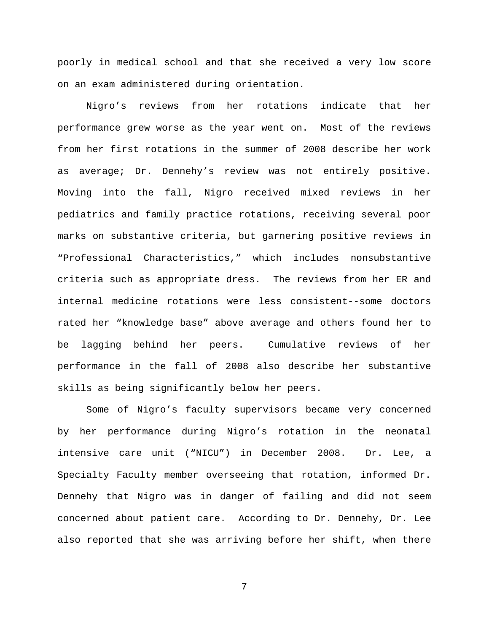poorly in medical school and that she received a very low score on an exam administered during orientation.

Nigro's reviews from her rotations indicate that her performance grew worse as the year went on. Most of the reviews from her first rotations in the summer of 2008 describe her work as average; Dr. Dennehy's review was not entirely positive. Moving into the fall, Nigro received mixed reviews in her pediatrics and family practice rotations, receiving several poor marks on substantive criteria, but garnering positive reviews in "Professional Characteristics," which includes nonsubstantive criteria such as appropriate dress. The reviews from her ER and internal medicine rotations were less consistent--some doctors rated her "knowledge base" above average and others found her to be lagging behind her peers. Cumulative reviews of her performance in the fall of 2008 also describe her substantive skills as being significantly below her peers.

Some of Nigro's faculty supervisors became very concerned by her performance during Nigro's rotation in the neonatal intensive care unit ("NICU") in December 2008. Dr. Lee, a Specialty Faculty member overseeing that rotation, informed Dr. Dennehy that Nigro was in danger of failing and did not seem concerned about patient care. According to Dr. Dennehy, Dr. Lee also reported that she was arriving before her shift, when there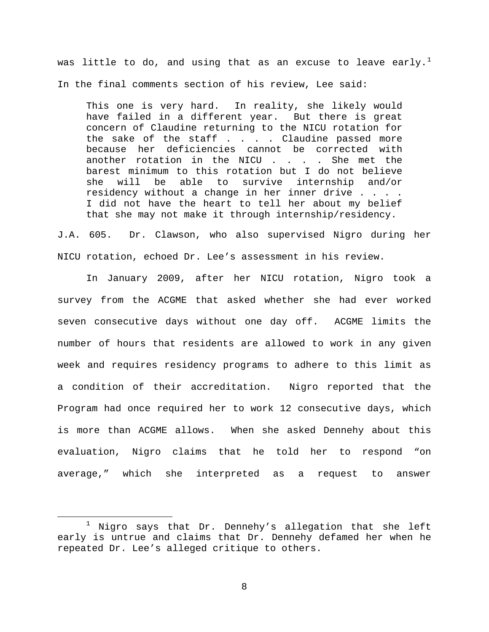was little to do, and using that as an excuse to leave early.<sup>[1](#page-7-0)</sup> In the final comments section of his review, Lee said:

This one is very hard. In reality, she likely would have failed in a different year. But there is great concern of Claudine returning to the NICU rotation for the sake of the staff  $\ldots$  . . Claudine passed more because her deficiencies cannot be corrected with another rotation in the NICU . . . . She met the barest minimum to this rotation but I do not believe<br>she will be able to survive internship and/or she will be able to survive internship and/or residency without a change in her inner drive . . . . I did not have the heart to tell her about my belief that she may not make it through internship/residency.

J.A. 605. Dr. Clawson, who also supervised Nigro during her NICU rotation, echoed Dr. Lee's assessment in his review.

In January 2009, after her NICU rotation, Nigro took a survey from the ACGME that asked whether she had ever worked seven consecutive days without one day off. ACGME limits the number of hours that residents are allowed to work in any given week and requires residency programs to adhere to this limit as a condition of their accreditation. Nigro reported that the Program had once required her to work 12 consecutive days, which is more than ACGME allows. When she asked Dennehy about this evaluation, Nigro claims that he told her to respond "on average," which she interpreted as a request to answer

 $\overline{a}$ 

<span id="page-7-0"></span><sup>1</sup> Nigro says that Dr. Dennehy's allegation that she left early is untrue and claims that Dr. Dennehy defamed her when he repeated Dr. Lee's alleged critique to others.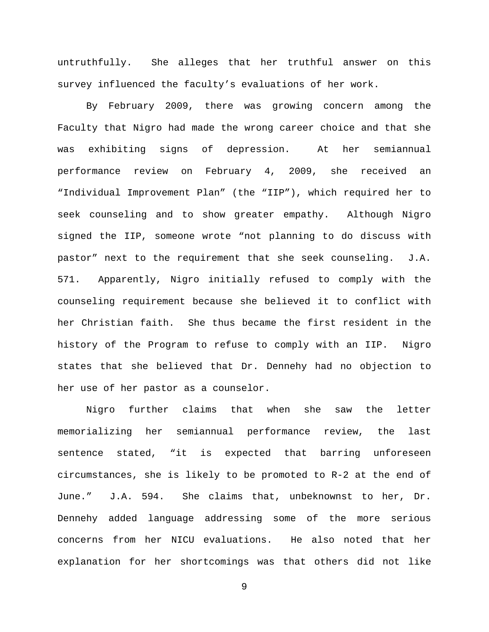untruthfully. She alleges that her truthful answer on this survey influenced the faculty's evaluations of her work.

By February 2009, there was growing concern among the Faculty that Nigro had made the wrong career choice and that she was exhibiting signs of depression. At her semiannual performance review on February 4, 2009, she received an "Individual Improvement Plan" (the "IIP"), which required her to seek counseling and to show greater empathy. Although Nigro signed the IIP, someone wrote "not planning to do discuss with pastor" next to the requirement that she seek counseling. J.A. 571. Apparently, Nigro initially refused to comply with the counseling requirement because she believed it to conflict with her Christian faith. She thus became the first resident in the history of the Program to refuse to comply with an IIP. Nigro states that she believed that Dr. Dennehy had no objection to her use of her pastor as a counselor.

Nigro further claims that when she saw the letter memorializing her semiannual performance review, the last sentence stated, "it is expected that barring unforeseen circumstances, she is likely to be promoted to R-2 at the end of June." J.A. 594. She claims that, unbeknownst to her, Dr. Dennehy added language addressing some of the more serious concerns from her NICU evaluations. He also noted that her explanation for her shortcomings was that others did not like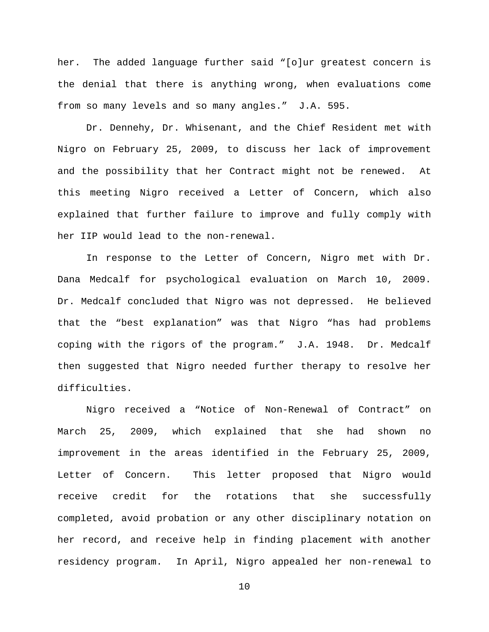her. The added language further said "[o]ur greatest concern is the denial that there is anything wrong, when evaluations come from so many levels and so many angles." J.A. 595.

Dr. Dennehy, Dr. Whisenant, and the Chief Resident met with Nigro on February 25, 2009, to discuss her lack of improvement and the possibility that her Contract might not be renewed. At this meeting Nigro received a Letter of Concern, which also explained that further failure to improve and fully comply with her IIP would lead to the non-renewal.

In response to the Letter of Concern, Nigro met with Dr. Dana Medcalf for psychological evaluation on March 10, 2009. Dr. Medcalf concluded that Nigro was not depressed. He believed that the "best explanation" was that Nigro "has had problems coping with the rigors of the program." J.A. 1948. Dr. Medcalf then suggested that Nigro needed further therapy to resolve her difficulties.

Nigro received a "Notice of Non-Renewal of Contract" on March 25, 2009, which explained that she had shown no improvement in the areas identified in the February 25, 2009, Letter of Concern. This letter proposed that Nigro would receive credit for the rotations that she successfully completed, avoid probation or any other disciplinary notation on her record, and receive help in finding placement with another residency program. In April, Nigro appealed her non-renewal to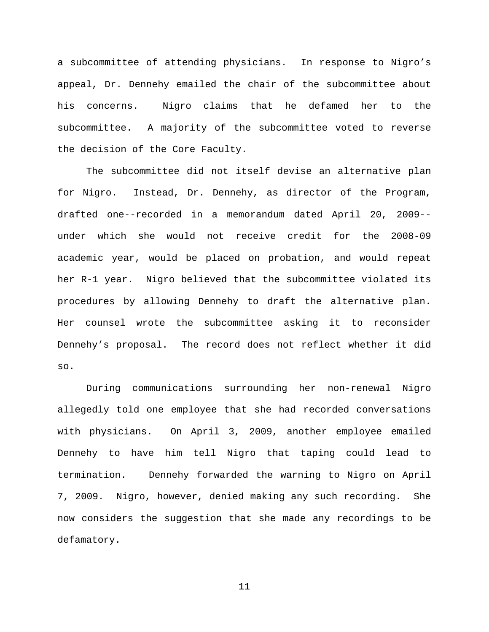a subcommittee of attending physicians. In response to Nigro's appeal, Dr. Dennehy emailed the chair of the subcommittee about his concerns. Nigro claims that he defamed her to the subcommittee. A majority of the subcommittee voted to reverse the decision of the Core Faculty.

The subcommittee did not itself devise an alternative plan for Nigro. Instead, Dr. Dennehy, as director of the Program, drafted one--recorded in a memorandum dated April 20, 2009- under which she would not receive credit for the 2008-09 academic year, would be placed on probation, and would repeat her R-1 year. Nigro believed that the subcommittee violated its procedures by allowing Dennehy to draft the alternative plan. Her counsel wrote the subcommittee asking it to reconsider Dennehy's proposal. The record does not reflect whether it did so.

During communications surrounding her non-renewal Nigro allegedly told one employee that she had recorded conversations with physicians. On April 3, 2009, another employee emailed Dennehy to have him tell Nigro that taping could lead to termination. Dennehy forwarded the warning to Nigro on April 7, 2009. Nigro, however, denied making any such recording. She now considers the suggestion that she made any recordings to be defamatory.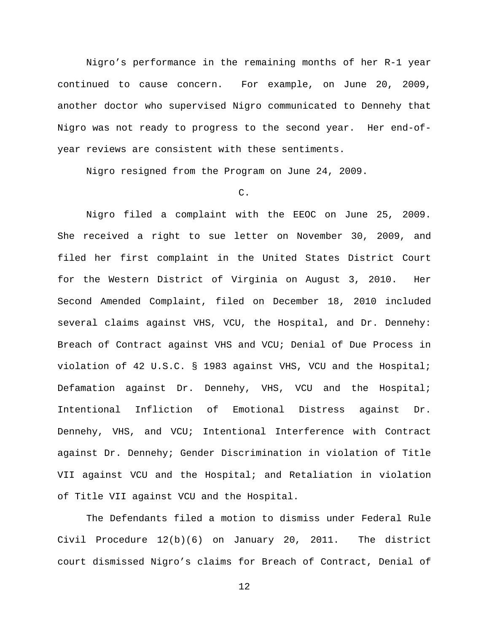Nigro's performance in the remaining months of her R-1 year continued to cause concern. For example, on June 20, 2009, another doctor who supervised Nigro communicated to Dennehy that Nigro was not ready to progress to the second year. Her end-ofyear reviews are consistent with these sentiments.

Nigro resigned from the Program on June 24, 2009.

# C.

Nigro filed a complaint with the EEOC on June 25, 2009. She received a right to sue letter on November 30, 2009, and filed her first complaint in the United States District Court for the Western District of Virginia on August 3, 2010. Her Second Amended Complaint, filed on December 18, 2010 included several claims against VHS, VCU, the Hospital, and Dr. Dennehy: Breach of Contract against VHS and VCU; Denial of Due Process in violation of 42 U.S.C. § 1983 against VHS, VCU and the Hospital; Defamation against Dr. Dennehy, VHS, VCU and the Hospital; Intentional Infliction of Emotional Distress against Dr. Dennehy, VHS, and VCU; Intentional Interference with Contract against Dr. Dennehy; Gender Discrimination in violation of Title VII against VCU and the Hospital; and Retaliation in violation of Title VII against VCU and the Hospital.

The Defendants filed a motion to dismiss under Federal Rule Civil Procedure 12(b)(6) on January 20, 2011. The district court dismissed Nigro's claims for Breach of Contract, Denial of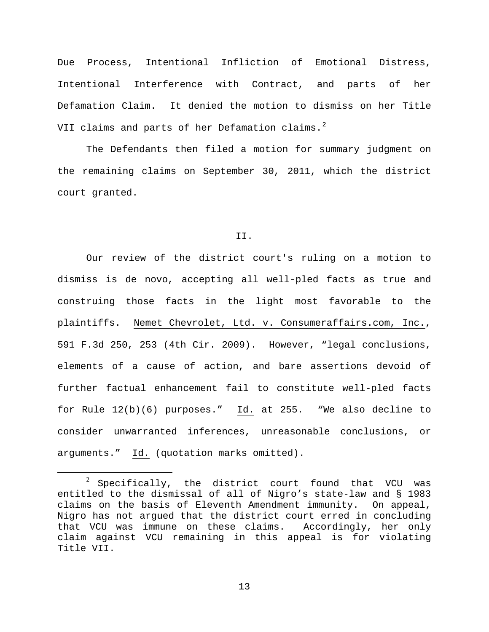Due Process, Intentional Infliction of Emotional Distress, Intentional Interference with Contract, and parts of her Defamation Claim. It denied the motion to dismiss on her Title VII claims and parts of her Defamation claims.<sup>[2](#page-12-0)</sup>

The Defendants then filed a motion for summary judgment on the remaining claims on September 30, 2011, which the district court granted.

#### II.

Our review of the district court's ruling on a motion to dismiss is de novo, accepting all well-pled facts as true and construing those facts in the light most favorable to the plaintiffs. Nemet Chevrolet, Ltd. v. Consumeraffairs.com, Inc., 591 F.3d 250, 253 (4th Cir. 2009). However, "legal conclusions, elements of a cause of action, and bare assertions devoid of further factual enhancement fail to constitute well-pled facts for Rule 12(b)(6) purposes." Id. at 255. "We also decline to consider unwarranted inferences, unreasonable conclusions, or arguments." Id. (quotation marks omitted).

<span id="page-12-0"></span> $2$  Specifically, the district court found that VCU was entitled to the dismissal of all of Nigro's state-law and § 1983 claims on the basis of Eleventh Amendment immunity. On appeal, Nigro has not argued that the district court erred in concluding that VCU was immune on these claims. Accordingly, her only claim against VCU remaining in this appeal is for violating Title VII.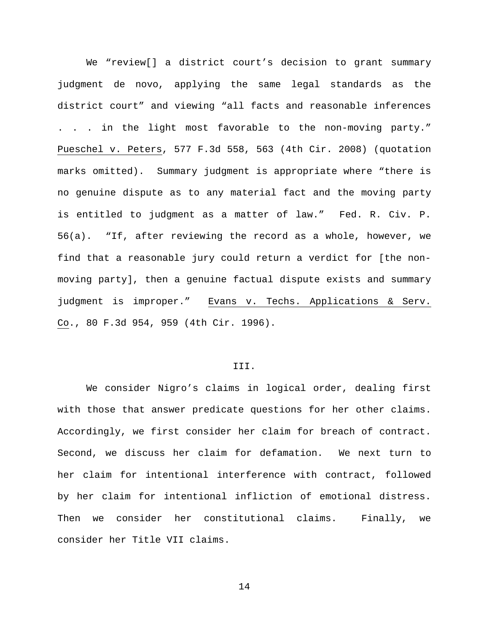We "review[] a district court's decision to grant summary judgment de novo, applying the same legal standards as the district court" and viewing "all facts and reasonable inferences . . . in the light most favorable to the non-moving party." Pueschel v. Peters, 577 F.3d 558, 563 (4th Cir. 2008) (quotation marks omitted). Summary judgment is appropriate where "there is no genuine dispute as to any material fact and the moving party is entitled to judgment as a matter of law." Fed. R. Civ. P. 56(a). "If, after reviewing the record as a whole, however, we find that a reasonable jury could return a verdict for [the nonmoving party], then a genuine factual dispute exists and summary judgment is improper." Evans v. Techs. Applications & Serv. Co., 80 F.3d 954, 959 (4th Cir. 1996).

### III.

We consider Nigro's claims in logical order, dealing first with those that answer predicate questions for her other claims. Accordingly, we first consider her claim for breach of contract. Second, we discuss her claim for defamation. We next turn to her claim for intentional interference with contract, followed by her claim for intentional infliction of emotional distress. Then we consider her constitutional claims. Finally, we consider her Title VII claims.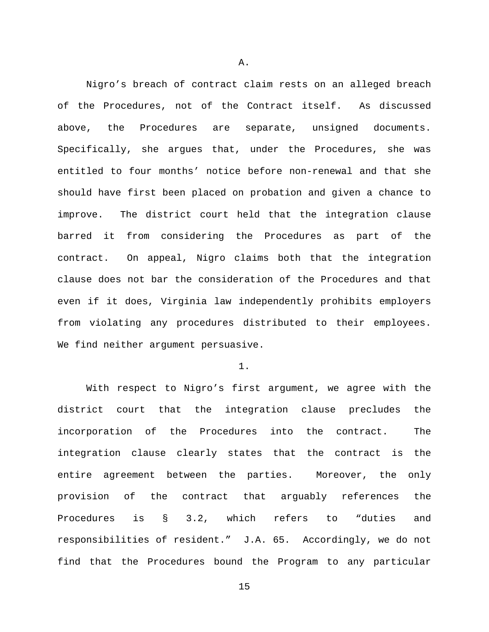Nigro's breach of contract claim rests on an alleged breach of the Procedures, not of the Contract itself. As discussed above, the Procedures are separate, unsigned documents. Specifically, she argues that, under the Procedures, she was entitled to four months' notice before non-renewal and that she should have first been placed on probation and given a chance to improve. The district court held that the integration clause barred it from considering the Procedures as part of the contract. On appeal, Nigro claims both that the integration clause does not bar the consideration of the Procedures and that even if it does, Virginia law independently prohibits employers from violating any procedures distributed to their employees. We find neither argument persuasive.

## 1.

With respect to Nigro's first argument, we agree with the district court that the integration clause precludes the incorporation of the Procedures into the contract. The integration clause clearly states that the contract is the entire agreement between the parties. Moreover, the only provision of the contract that arguably references the Procedures is § 3.2, which refers to "duties and responsibilities of resident." J.A. 65. Accordingly, we do not find that the Procedures bound the Program to any particular

A.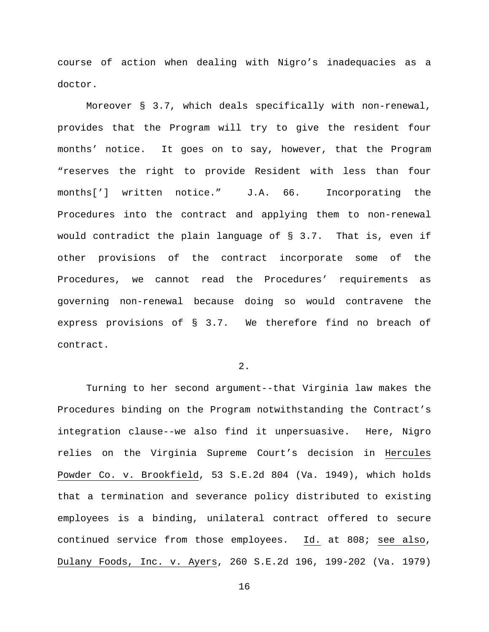course of action when dealing with Nigro's inadequacies as a doctor.

Moreover § 3.7, which deals specifically with non-renewal, provides that the Program will try to give the resident four months' notice. It goes on to say, however, that the Program "reserves the right to provide Resident with less than four months['] written notice." J.A. 66. Incorporating the Procedures into the contract and applying them to non-renewal would contradict the plain language of § 3.7. That is, even if other provisions of the contract incorporate some of the Procedures, we cannot read the Procedures' requirements as governing non-renewal because doing so would contravene the express provisions of § 3.7. We therefore find no breach of contract.

2.

Turning to her second argument--that Virginia law makes the Procedures binding on the Program notwithstanding the Contract's integration clause--we also find it unpersuasive. Here, Nigro relies on the Virginia Supreme Court's decision in Hercules Powder Co. v. Brookfield, 53 S.E.2d 804 (Va. 1949), which holds that a termination and severance policy distributed to existing employees is a binding, unilateral contract offered to secure continued service from those employees. Id. at 808; see also, Dulany Foods, Inc. v. Ayers, 260 S.E.2d 196, 199-202 (Va. 1979)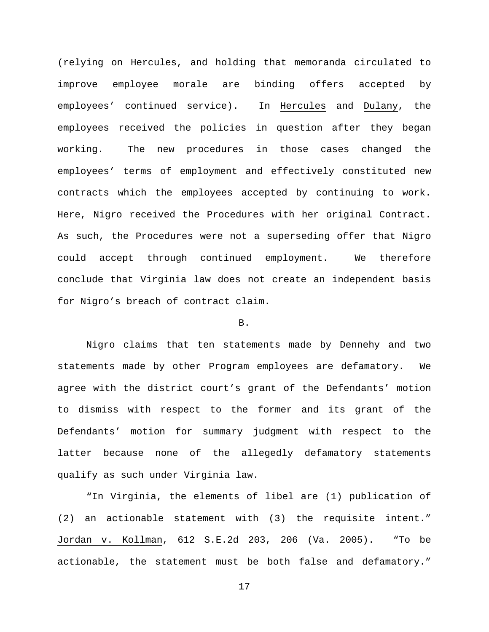(relying on Hercules, and holding that memoranda circulated to improve employee morale are binding offers accepted by employees' continued service). In Hercules and Dulany, the employees received the policies in question after they began working. The new procedures in those cases changed the employees' terms of employment and effectively constituted new contracts which the employees accepted by continuing to work. Here, Nigro received the Procedures with her original Contract. As such, the Procedures were not a superseding offer that Nigro could accept through continued employment. We therefore conclude that Virginia law does not create an independent basis for Nigro's breach of contract claim.

# B.

Nigro claims that ten statements made by Dennehy and two statements made by other Program employees are defamatory. We agree with the district court's grant of the Defendants' motion to dismiss with respect to the former and its grant of the Defendants' motion for summary judgment with respect to the latter because none of the allegedly defamatory statements qualify as such under Virginia law.

"In Virginia, the elements of libel are (1) publication of (2) an actionable statement with (3) the requisite intent." Jordan v. Kollman, 612 S.E.2d 203, 206 (Va. 2005). "To be actionable, the statement must be both false and defamatory."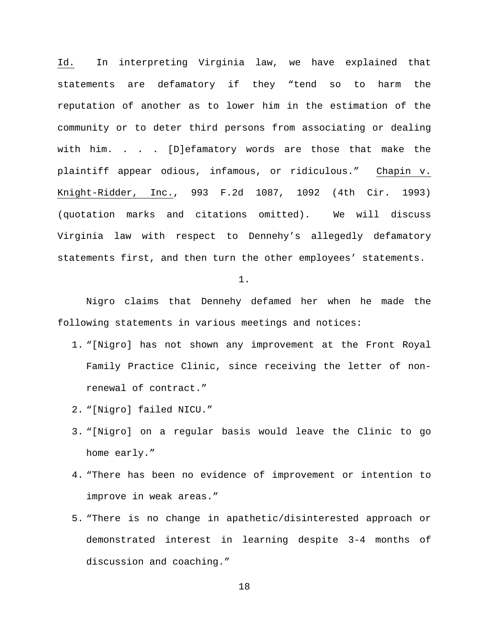Id. In interpreting Virginia law, we have explained that statements are defamatory if they "tend so to harm the reputation of another as to lower him in the estimation of the community or to deter third persons from associating or dealing with him. . . . [D]efamatory words are those that make the plaintiff appear odious, infamous, or ridiculous." Chapin v. Knight-Ridder, Inc., 993 F.2d 1087, 1092 (4th Cir. 1993) (quotation marks and citations omitted). We will discuss Virginia law with respect to Dennehy's allegedly defamatory statements first, and then turn the other employees' statements.

1.

Nigro claims that Dennehy defamed her when he made the following statements in various meetings and notices:

- 1. "[Nigro] has not shown any improvement at the Front Royal Family Practice Clinic, since receiving the letter of nonrenewal of contract."
- 2. "[Nigro] failed NICU."
- 3. "[Nigro] on a regular basis would leave the Clinic to go home early."
- 4. "There has been no evidence of improvement or intention to improve in weak areas."
- 5. "There is no change in apathetic/disinterested approach or demonstrated interest in learning despite 3-4 months of discussion and coaching."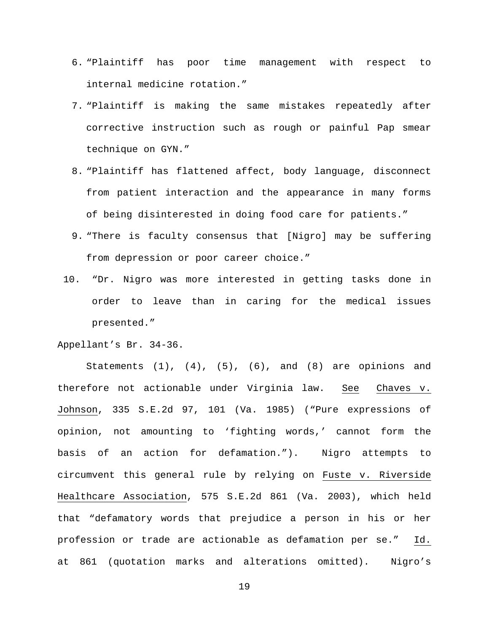- 6. "Plaintiff has poor time management with respect to internal medicine rotation."
- 7. "Plaintiff is making the same mistakes repeatedly after corrective instruction such as rough or painful Pap smear technique on GYN."
- 8. "Plaintiff has flattened affect, body language, disconnect from patient interaction and the appearance in many forms of being disinterested in doing food care for patients."
- 9. "There is faculty consensus that [Nigro] may be suffering from depression or poor career choice."
- 10. "Dr. Nigro was more interested in getting tasks done in order to leave than in caring for the medical issues presented."

Appellant's Br. 34-36.

Statements  $(1)$ ,  $(4)$ ,  $(5)$ ,  $(6)$ , and  $(8)$  are opinions and therefore not actionable under Virginia law. See Chaves v. Johnson, 335 S.E.2d 97, 101 (Va. 1985) ("Pure expressions of opinion, not amounting to 'fighting words,' cannot form the basis of an action for defamation."). Nigro attempts to circumvent this general rule by relying on Fuste v. Riverside Healthcare Association, 575 S.E.2d 861 (Va. 2003), which held that "defamatory words that prejudice a person in his or her profession or trade are actionable as defamation per se." Id. at 861 (quotation marks and alterations omitted). Nigro's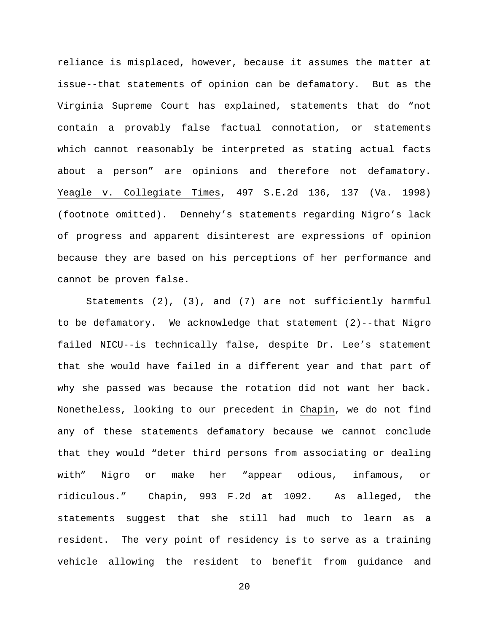reliance is misplaced, however, because it assumes the matter at issue--that statements of opinion can be defamatory. But as the Virginia Supreme Court has explained, statements that do "not contain a provably false factual connotation, or statements which cannot reasonably be interpreted as stating actual facts about a person" are opinions and therefore not defamatory. Yeagle v. Collegiate Times, 497 S.E.2d 136, 137 (Va. 1998) (footnote omitted). Dennehy's statements regarding Nigro's lack of progress and apparent disinterest are expressions of opinion because they are based on his perceptions of her performance and cannot be proven false.

Statements (2), (3), and (7) are not sufficiently harmful to be defamatory. We acknowledge that statement (2)--that Nigro failed NICU--is technically false, despite Dr. Lee's statement that she would have failed in a different year and that part of why she passed was because the rotation did not want her back. Nonetheless, looking to our precedent in Chapin, we do not find any of these statements defamatory because we cannot conclude that they would "deter third persons from associating or dealing with" Nigro or make her "appear odious, infamous, or ridiculous." Chapin, 993 F.2d at 1092. As alleged, the statements suggest that she still had much to learn as a resident. The very point of residency is to serve as a training vehicle allowing the resident to benefit from guidance and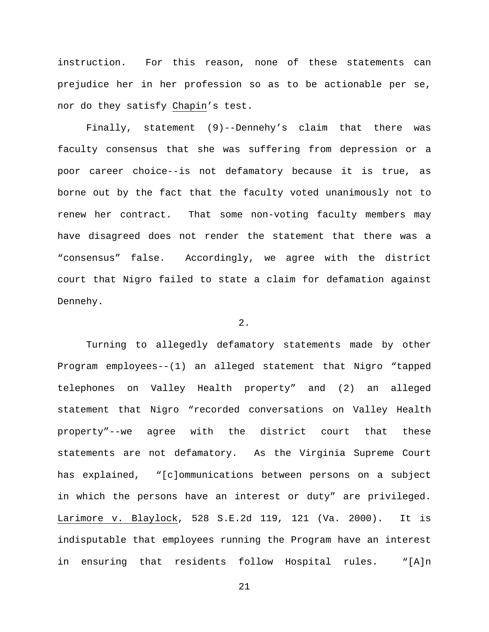instruction. For this reason, none of these statements can prejudice her in her profession so as to be actionable per se, nor do they satisfy Chapin's test.

Finally, statement (9)--Dennehy's claim that there was faculty consensus that she was suffering from depression or a poor career choice--is not defamatory because it is true, as borne out by the fact that the faculty voted unanimously not to renew her contract. That some non-voting faculty members may have disagreed does not render the statement that there was a "consensus" false. Accordingly, we agree with the district court that Nigro failed to state a claim for defamation against Dennehy.

### 2.

Turning to allegedly defamatory statements made by other Program employees--(1) an alleged statement that Nigro "tapped telephones on Valley Health property" and (2) an alleged statement that Nigro "recorded conversations on Valley Health property"--we agree with the district court that these statements are not defamatory. As the Virginia Supreme Court has explained, "[c]ommunications between persons on a subject in which the persons have an interest or duty" are privileged. Larimore v. Blaylock, 528 S.E.2d 119, 121 (Va. 2000). It is indisputable that employees running the Program have an interest in ensuring that residents follow Hospital rules. "[A]n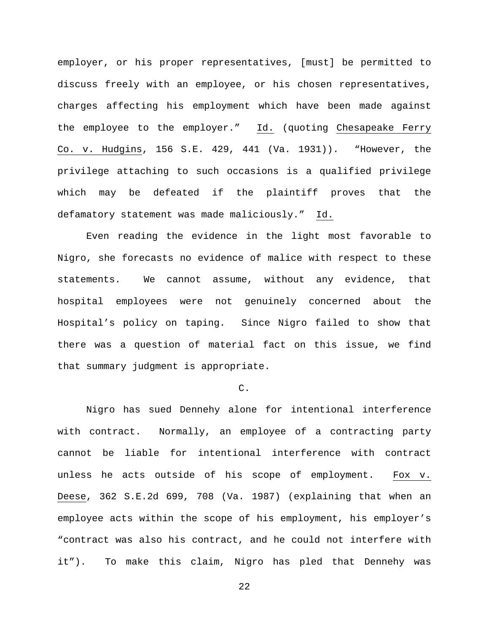employer, or his proper representatives, [must] be permitted to discuss freely with an employee, or his chosen representatives, charges affecting his employment which have been made against the employee to the employer." Id. (quoting Chesapeake Ferry Co. v. Hudgins, 156 S.E. 429, 441 (Va. 1931)). "However, the privilege attaching to such occasions is a qualified privilege which may be defeated if the plaintiff proves that the defamatory statement was made maliciously." Id.

Even reading the evidence in the light most favorable to Nigro, she forecasts no evidence of malice with respect to these statements. We cannot assume, without any evidence, that hospital employees were not genuinely concerned about the Hospital's policy on taping. Since Nigro failed to show that there was a question of material fact on this issue, we find that summary judgment is appropriate.

## $\mathcal{C}$ .

Nigro has sued Dennehy alone for intentional interference with contract. Normally, an employee of a contracting party cannot be liable for intentional interference with contract unless he acts outside of his scope of employment. Fox v. Deese, 362 S.E.2d 699, 708 (Va. 1987) (explaining that when an employee acts within the scope of his employment, his employer's "contract was also his contract, and he could not interfere with it"). To make this claim, Nigro has pled that Dennehy was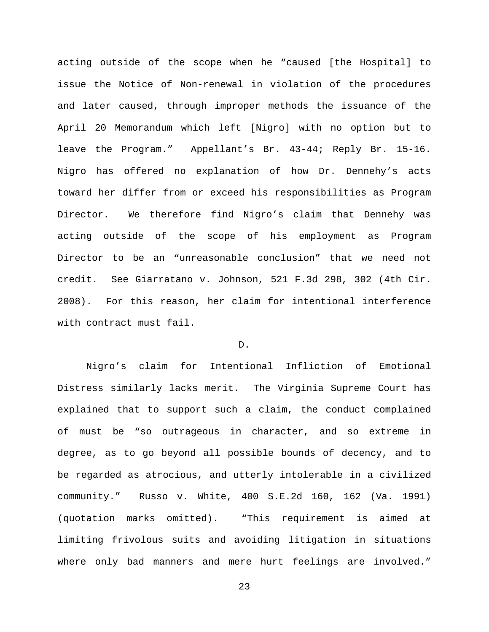acting outside of the scope when he "caused [the Hospital] to issue the Notice of Non-renewal in violation of the procedures and later caused, through improper methods the issuance of the April 20 Memorandum which left [Nigro] with no option but to leave the Program." Appellant's Br. 43-44; Reply Br. 15-16. Nigro has offered no explanation of how Dr. Dennehy's acts toward her differ from or exceed his responsibilities as Program Director. We therefore find Nigro's claim that Dennehy was acting outside of the scope of his employment as Program Director to be an "unreasonable conclusion" that we need not credit. See Giarratano v. Johnson, 521 F.3d 298, 302 (4th Cir. 2008). For this reason, her claim for intentional interference with contract must fail.

# D.

Nigro's claim for Intentional Infliction of Emotional Distress similarly lacks merit. The Virginia Supreme Court has explained that to support such a claim, the conduct complained of must be "so outrageous in character, and so extreme in degree, as to go beyond all possible bounds of decency, and to be regarded as atrocious, and utterly intolerable in a civilized community." Russo v. White, 400 S.E.2d 160, 162 (Va. 1991) (quotation marks omitted). "This requirement is aimed at limiting frivolous suits and avoiding litigation in situations where only bad manners and mere hurt feelings are involved."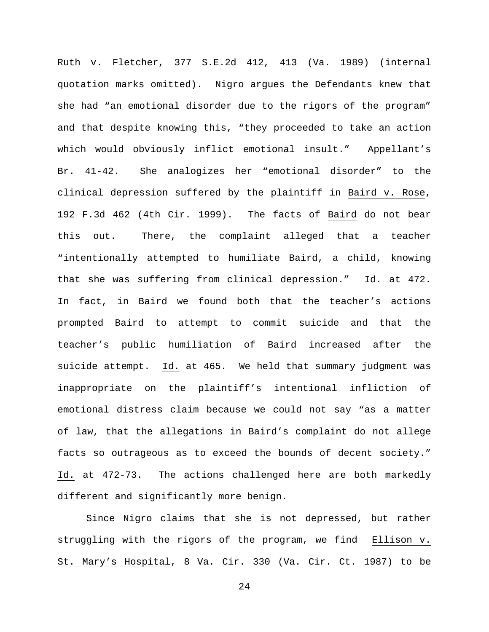Ruth v. Fletcher, 377 S.E.2d 412, 413 (Va. 1989) (internal quotation marks omitted). Nigro argues the Defendants knew that she had "an emotional disorder due to the rigors of the program" and that despite knowing this, "they proceeded to take an action which would obviously inflict emotional insult." Appellant's Br. 41-42. She analogizes her "emotional disorder" to the clinical depression suffered by the plaintiff in Baird v. Rose, 192 F.3d 462 (4th Cir. 1999). The facts of Baird do not bear this out. There, the complaint alleged that a teacher "intentionally attempted to humiliate Baird, a child, knowing that she was suffering from clinical depression." Id. at 472. In fact, in Baird we found both that the teacher's actions prompted Baird to attempt to commit suicide and that the teacher's public humiliation of Baird increased after the suicide attempt. Id. at 465. We held that summary judgment was inappropriate on the plaintiff's intentional infliction of emotional distress claim because we could not say "as a matter of law, that the allegations in Baird's complaint do not allege facts so outrageous as to exceed the bounds of decent society." Id. at 472-73. The actions challenged here are both markedly different and significantly more benign.

Since Nigro claims that she is not depressed, but rather struggling with the rigors of the program, we find Ellison v. St. Mary's Hospital, 8 Va. Cir. 330 (Va. Cir. Ct. 1987) to be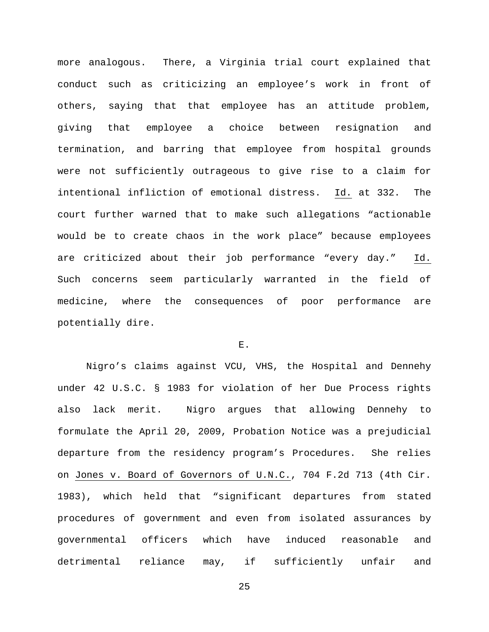more analogous. There, a Virginia trial court explained that conduct such as criticizing an employee's work in front of others, saying that that employee has an attitude problem, giving that employee a choice between resignation and termination, and barring that employee from hospital grounds were not sufficiently outrageous to give rise to a claim for intentional infliction of emotional distress. Id. at 332. The court further warned that to make such allegations "actionable would be to create chaos in the work place" because employees are criticized about their job performance "every day." Id. Such concerns seem particularly warranted in the field of medicine, where the consequences of poor performance are potentially dire.

# ${\bf E}$  .

Nigro's claims against VCU, VHS, the Hospital and Dennehy under 42 U.S.C. § 1983 for violation of her Due Process rights also lack merit. Nigro argues that allowing Dennehy to formulate the April 20, 2009, Probation Notice was a prejudicial departure from the residency program's Procedures. She relies on Jones v. Board of Governors of U.N.C., 704 F.2d 713 (4th Cir. 1983), which held that "significant departures from stated procedures of government and even from isolated assurances by governmental officers which have induced reasonable and detrimental reliance may, if sufficiently unfair and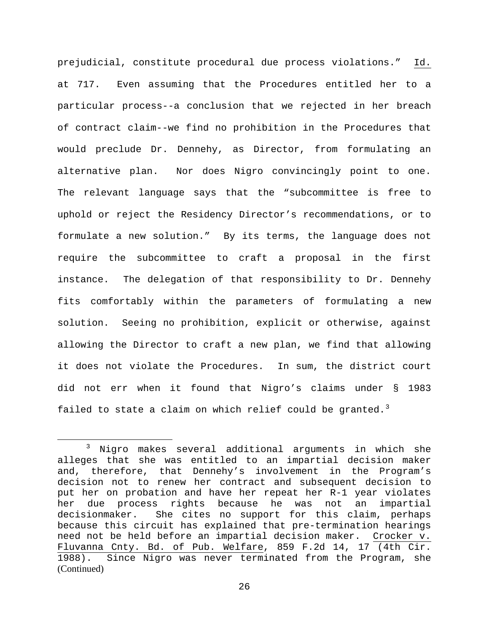prejudicial, constitute procedural due process violations." Id. at 717. Even assuming that the Procedures entitled her to a particular process--a conclusion that we rejected in her breach of contract claim--we find no prohibition in the Procedures that would preclude Dr. Dennehy, as Director, from formulating an alternative plan. Nor does Nigro convincingly point to one. The relevant language says that the "subcommittee is free to uphold or reject the Residency Director's recommendations, or to formulate a new solution." By its terms, the language does not require the subcommittee to craft a proposal in the first instance. The delegation of that responsibility to Dr. Dennehy fits comfortably within the parameters of formulating a new solution. Seeing no prohibition, explicit or otherwise, against allowing the Director to craft a new plan, we find that allowing it does not violate the Procedures. In sum, the district court did not err when it found that Nigro's claims under § 1983 failed to state a claim on which relief could be granted.<sup>[3](#page-25-0)</sup>

 $\overline{a}$ 

<span id="page-25-0"></span><sup>3</sup> Nigro makes several additional arguments in which she alleges that she was entitled to an impartial decision maker and, therefore, that Dennehy's involvement in the Program's decision not to renew her contract and subsequent decision to put her on probation and have her repeat her R-1 year violates her due process rights because he was not an impartial decisionmaker. She cites no support for this claim, perhaps because this circuit has explained that pre-termination hearings need not be held before an impartial decision maker. Crocker v. Fluvanna Cnty. Bd. of Pub. Welfare, 859 F.2d 14, 17 (4th Cir. 1988). Since Nigro was never terminated from the Program, she (Continued)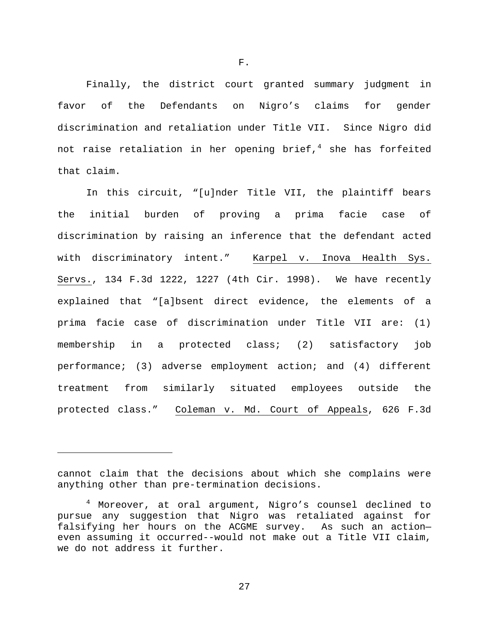Finally, the district court granted summary judgment in favor of the Defendants on Nigro's claims for gender discrimination and retaliation under Title VII. Since Nigro did not raise retaliation in her opening brief, $4$  she has forfeited that claim.

In this circuit, "[u]nder Title VII, the plaintiff bears the initial burden of proving a prima facie case of discrimination by raising an inference that the defendant acted with discriminatory intent." Karpel v. Inova Health Sys. Servs., 134 F.3d 1222, 1227 (4th Cir. 1998). We have recently explained that "[a]bsent direct evidence, the elements of a prima facie case of discrimination under Title VII are: (1) membership in a protected class; (2) satisfactory job performance; (3) adverse employment action; and (4) different treatment from similarly situated employees outside the protected class." Coleman v. Md. Court of Appeals, 626 F.3d

 $\overline{a}$ 

F.

cannot claim that the decisions about which she complains were anything other than pre-termination decisions.

<span id="page-26-0"></span><sup>&</sup>lt;sup>4</sup> Moreover, at oral argument, Nigro's counsel declined to pursue any suggestion that Nigro was retaliated against for falsifying her hours on the ACGME survey. As such an action even assuming it occurred--would not make out a Title VII claim, we do not address it further.

<sup>27</sup>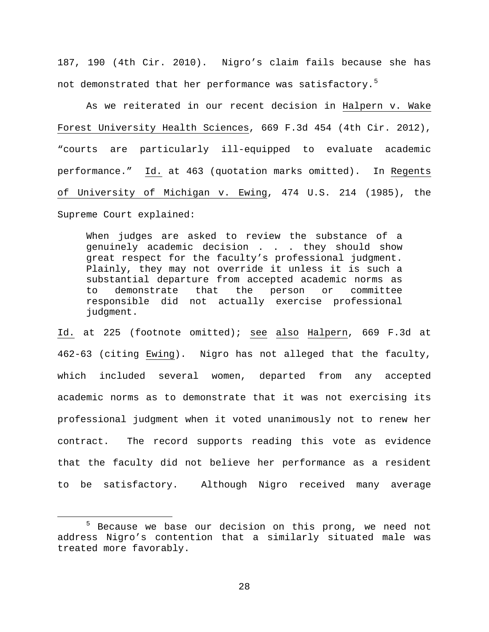187, 190 (4th Cir. 2010). Nigro's claim fails because she has not demonstrated that her performance was satisfactory.<sup>[5](#page-27-0)</sup>

As we reiterated in our recent decision in Halpern v. Wake Forest University Health Sciences, 669 F.3d 454 (4th Cir. 2012), "courts are particularly ill-equipped to evaluate academic performance." Id. at 463 (quotation marks omitted). In Regents of University of Michigan v. Ewing, 474 U.S. 214 (1985), the Supreme Court explained:

When judges are asked to review the substance of a genuinely academic decision . . . they should show great respect for the faculty's professional judgment. Plainly, they may not override it unless it is such a substantial departure from accepted academic norms as<br>to demonstrate that the person or committee to demonstrate responsible did not actually exercise professional judgment.

Id. at 225 (footnote omitted); see also Halpern, 669 F.3d at 462-63 (citing Ewing). Nigro has not alleged that the faculty, which included several women, departed from any accepted academic norms as to demonstrate that it was not exercising its professional judgment when it voted unanimously not to renew her contract. The record supports reading this vote as evidence that the faculty did not believe her performance as a resident to be satisfactory. Although Nigro received many average

 $\overline{a}$ 

<span id="page-27-0"></span><sup>5</sup> Because we base our decision on this prong, we need not address Nigro's contention that a similarly situated male was treated more favorably.